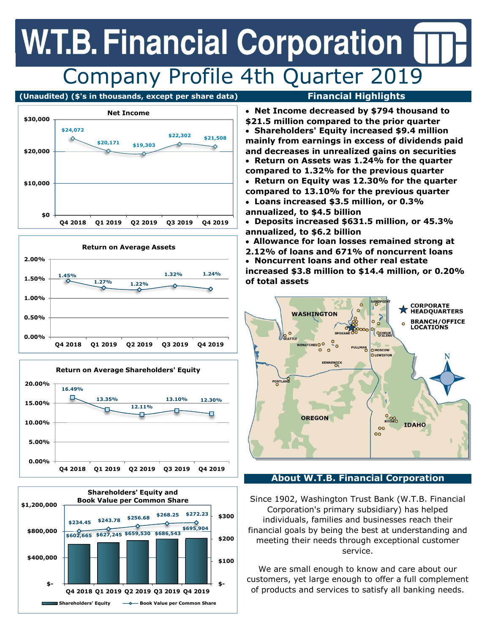## **W.T.B. Financial Corporation** Company Profile 4th Quarter 2019

(Unaudited) (\$'s in thousands, except per share data) Financial Highlights











 Net Income decreased by \$794 thousand to \$21.5 million compared to the prior quarter Shareholders' Equity increased \$9.4 million mainly from earnings in excess of dividends paid and decreases in unrealized gains on securities Return on Assets was 1.24% for the quarter compared to 1.32% for the previous quarter Return on Equity was 12.30% for the quarter compared to 13.10% for the previous quarter

- Loans increased \$3.5 million, or 0.3% annualized, to \$4.5 billion
- Deposits increased \$631.5 million, or 45.3% annualized, to \$6.2 billion
- Allowance for loan losses remained strong at
- 2.12% of loans and 671% of noncurrent loans Noncurrent loans and other real estate

increased \$3.8 million to \$14.4 million, or 0.20% of total assets



### About W.T.B. Financial Corporation

Since 1902, Washington Trust Bank (W.T.B. Financial Corporation's primary subsidiary) has helped individuals, families and businesses reach their financial goals by being the best at understanding and meeting their needs through exceptional customer service.

We are small enough to know and care about our customers, yet large enough to offer a full complement of products and services to satisfy all banking needs.